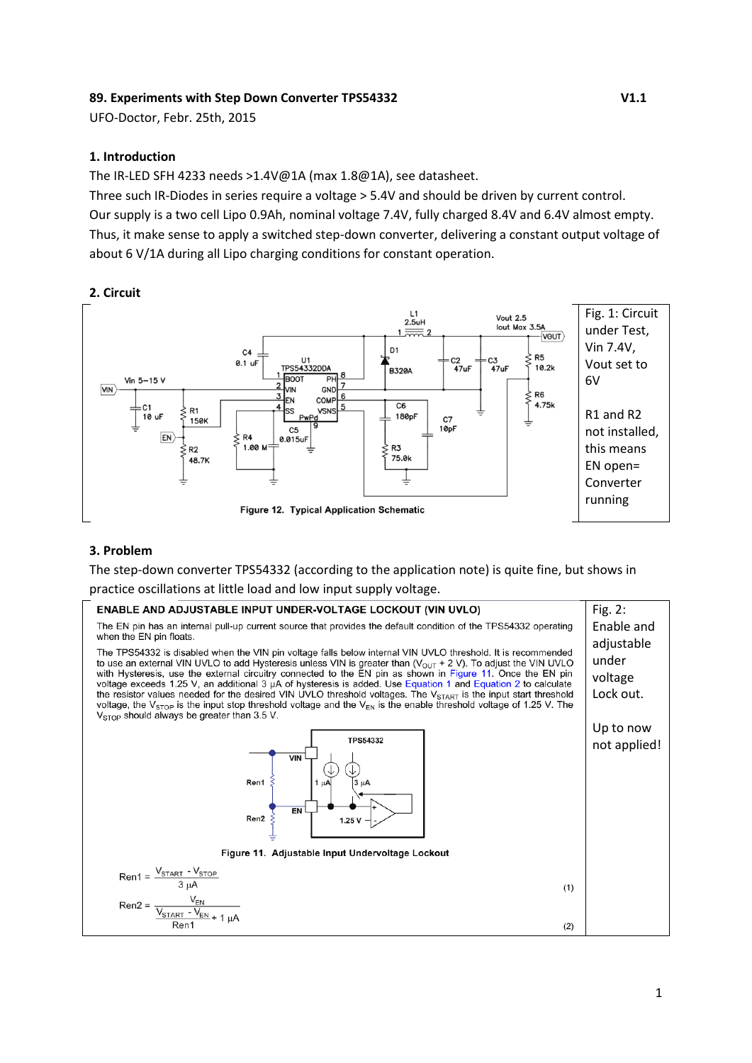### **89. Experiments with Step Down Converter TPS54332 V1.1**

UFO-Doctor, Febr. 25th, 2015

#### **1. Introduction**

The IR-LED SFH 4233 needs >1.4V@1A (max 1.8@1A), see datasheet.

Three such IR-Diodes in series require a voltage > 5.4V and should be driven by current control. Our supply is a two cell Lipo 0.9Ah, nominal voltage 7.4V, fully charged 8.4V and 6.4V almost empty. Thus, it make sense to apply a switched step-down converter, delivering a constant output voltage of about 6 V/1A during all Lipo charging conditions for constant operation.

#### **2. Circuit**



### **3. Problem**

The step-down converter TPS54332 (according to the application note) is quite fine, but shows in

practice oscillations at little load and low input supply voltage.